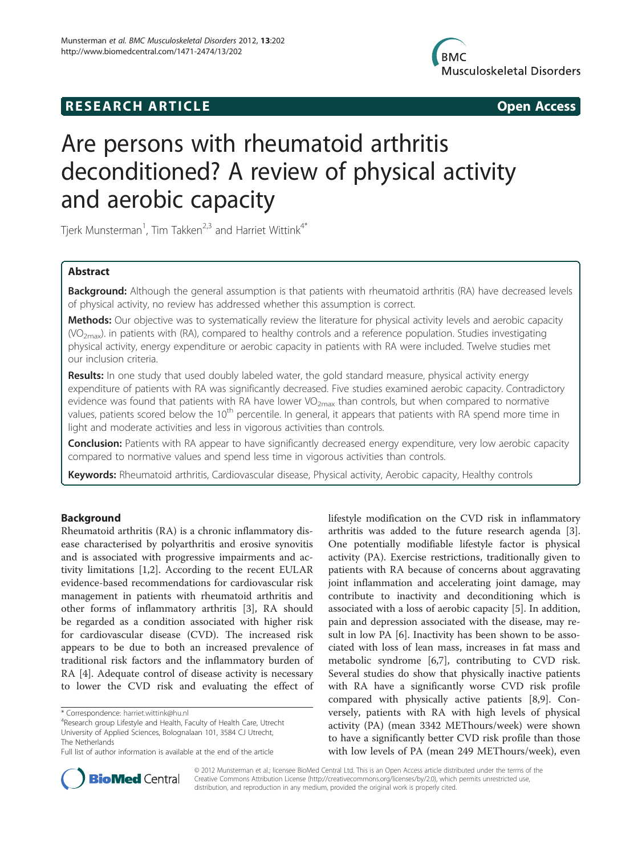



# Are persons with rheumatoid arthritis deconditioned? A review of physical activity and aerobic capacity

Tjerk Munsterman<sup>1</sup>, Tim Takken<sup>2,3</sup> and Harriet Wittink<sup>4\*</sup>

# Abstract

Background: Although the general assumption is that patients with rheumatoid arthritis (RA) have decreased levels of physical activity, no review has addressed whether this assumption is correct.

Methods: Our objective was to systematically review the literature for physical activity levels and aerobic capacity  $(VO<sub>2max</sub>)$ . in patients with (RA), compared to healthy controls and a reference population. Studies investigating physical activity, energy expenditure or aerobic capacity in patients with RA were included. Twelve studies met our inclusion criteria.

Results: In one study that used doubly labeled water, the gold standard measure, physical activity energy expenditure of patients with RA was significantly decreased. Five studies examined aerobic capacity. Contradictory evidence was found that patients with RA have lower VO<sub>2max</sub> than controls, but when compared to normative values, patients scored below the 10<sup>th</sup> percentile. In general, it appears that patients with RA spend more time in light and moderate activities and less in vigorous activities than controls.

Conclusion: Patients with RA appear to have significantly decreased energy expenditure, very low aerobic capacity compared to normative values and spend less time in vigorous activities than controls.

Keywords: Rheumatoid arthritis, Cardiovascular disease, Physical activity, Aerobic capacity, Healthy controls

# Background

Rheumatoid arthritis (RA) is a chronic inflammatory disease characterised by polyarthritis and erosive synovitis and is associated with progressive impairments and activity limitations [[1,2\]](#page-8-0). According to the recent EULAR evidence-based recommendations for cardiovascular risk management in patients with rheumatoid arthritis and other forms of inflammatory arthritis [\[3](#page-8-0)], RA should be regarded as a condition associated with higher risk for cardiovascular disease (CVD). The increased risk appears to be due to both an increased prevalence of traditional risk factors and the inflammatory burden of RA [[4\]](#page-8-0). Adequate control of disease activity is necessary to lower the CVD risk and evaluating the effect of

lifestyle modification on the CVD risk in inflammatory arthritis was added to the future research agenda [\[3](#page-8-0)]. One potentially modifiable lifestyle factor is physical activity (PA). Exercise restrictions, traditionally given to patients with RA because of concerns about aggravating joint inflammation and accelerating joint damage, may contribute to inactivity and deconditioning which is associated with a loss of aerobic capacity [[5\]](#page-8-0). In addition, pain and depression associated with the disease, may result in low PA [\[6\]](#page-8-0). Inactivity has been shown to be associated with loss of lean mass, increases in fat mass and metabolic syndrome [\[6,7](#page-8-0)], contributing to CVD risk. Several studies do show that physically inactive patients with RA have a significantly worse CVD risk profile compared with physically active patients [\[8,9](#page-8-0)]. Conversely, patients with RA with high levels of physical activity (PA) (mean 3342 METhours/week) were shown to have a significantly better CVD risk profile than those with low levels of PA (mean 249 METhours/week), even



© 2012 Munsterman et al.; licensee BioMed Central Ltd. This is an Open Access article distributed under the terms of the Creative Commons Attribution License (<http://creativecommons.org/licenses/by/2.0>), which permits unrestricted use, distribution, and reproduction in any medium, provided the original work is properly cited.

<sup>\*</sup> Correspondence: [harriet.wittink@hu.nl](mailto:harriet.wittink@hu.nl) <sup>4</sup>

<sup>&</sup>lt;sup>4</sup>Research group Lifestyle and Health, Faculty of Health Care, Utrecht University of Applied Sciences, Bolognalaan 101, 3584 CJ Utrecht, The Netherlands

Full list of author information is available at the end of the article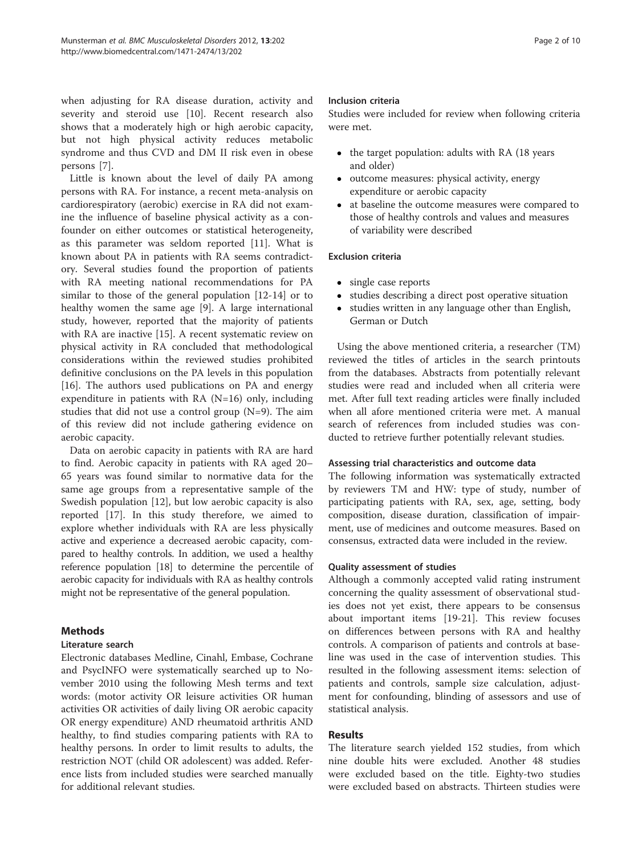when adjusting for RA disease duration, activity and severity and steroid use [[10\]](#page-8-0). Recent research also shows that a moderately high or high aerobic capacity, but not high physical activity reduces metabolic syndrome and thus CVD and DM II risk even in obese persons [\[7](#page-8-0)].

Little is known about the level of daily PA among persons with RA. For instance, a recent meta-analysis on cardiorespiratory (aerobic) exercise in RA did not examine the influence of baseline physical activity as a confounder on either outcomes or statistical heterogeneity, as this parameter was seldom reported [[11](#page-8-0)]. What is known about PA in patients with RA seems contradictory. Several studies found the proportion of patients with RA meeting national recommendations for PA similar to those of the general population [\[12](#page-8-0)-[14\]](#page-8-0) or to healthy women the same age [\[9](#page-8-0)]. A large international study, however, reported that the majority of patients with RA are inactive [[15](#page-8-0)]. A recent systematic review on physical activity in RA concluded that methodological considerations within the reviewed studies prohibited definitive conclusions on the PA levels in this population [[16\]](#page-8-0). The authors used publications on PA and energy expenditure in patients with  $RA (N=16)$  only, including studies that did not use a control group (N=9). The aim of this review did not include gathering evidence on aerobic capacity.

Data on aerobic capacity in patients with RA are hard to find. Aerobic capacity in patients with RA aged 20– 65 years was found similar to normative data for the same age groups from a representative sample of the Swedish population [\[12](#page-8-0)], but low aerobic capacity is also reported [\[17\]](#page-8-0). In this study therefore, we aimed to explore whether individuals with RA are less physically active and experience a decreased aerobic capacity, compared to healthy controls. In addition, we used a healthy reference population [[18](#page-8-0)] to determine the percentile of aerobic capacity for individuals with RA as healthy controls might not be representative of the general population.

# Methods

# Literature search

Electronic databases Medline, Cinahl, Embase, Cochrane and PsycINFO were systematically searched up to November 2010 using the following Mesh terms and text words: (motor activity OR leisure activities OR human activities OR activities of daily living OR aerobic capacity OR energy expenditure) AND rheumatoid arthritis AND healthy, to find studies comparing patients with RA to healthy persons. In order to limit results to adults, the restriction NOT (child OR adolescent) was added. Reference lists from included studies were searched manually for additional relevant studies.

# Inclusion criteria

Studies were included for review when following criteria were met.

- $\bullet$  the target population: adults with RA (18 years and older)
- outcome measures: physical activity, energy expenditure or aerobic capacity
- at baseline the outcome measures were compared to those of healthy controls and values and measures of variability were described

# Exclusion criteria

- single case reports
- studies describing a direct post operative situation
- studies written in any language other than English, German or Dutch

Using the above mentioned criteria, a researcher (TM) reviewed the titles of articles in the search printouts from the databases. Abstracts from potentially relevant studies were read and included when all criteria were met. After full text reading articles were finally included when all afore mentioned criteria were met. A manual search of references from included studies was conducted to retrieve further potentially relevant studies.

# Assessing trial characteristics and outcome data

The following information was systematically extracted by reviewers TM and HW: type of study, number of participating patients with RA, sex, age, setting, body composition, disease duration, classification of impairment, use of medicines and outcome measures. Based on consensus, extracted data were included in the review.

# Quality assessment of studies

Although a commonly accepted valid rating instrument concerning the quality assessment of observational studies does not yet exist, there appears to be consensus about important items [[19-21](#page-8-0)]. This review focuses on differences between persons with RA and healthy controls. A comparison of patients and controls at baseline was used in the case of intervention studies. This resulted in the following assessment items: selection of patients and controls, sample size calculation, adjustment for confounding, blinding of assessors and use of statistical analysis.

# Results

The literature search yielded 152 studies, from which nine double hits were excluded. Another 48 studies were excluded based on the title. Eighty-two studies were excluded based on abstracts. Thirteen studies were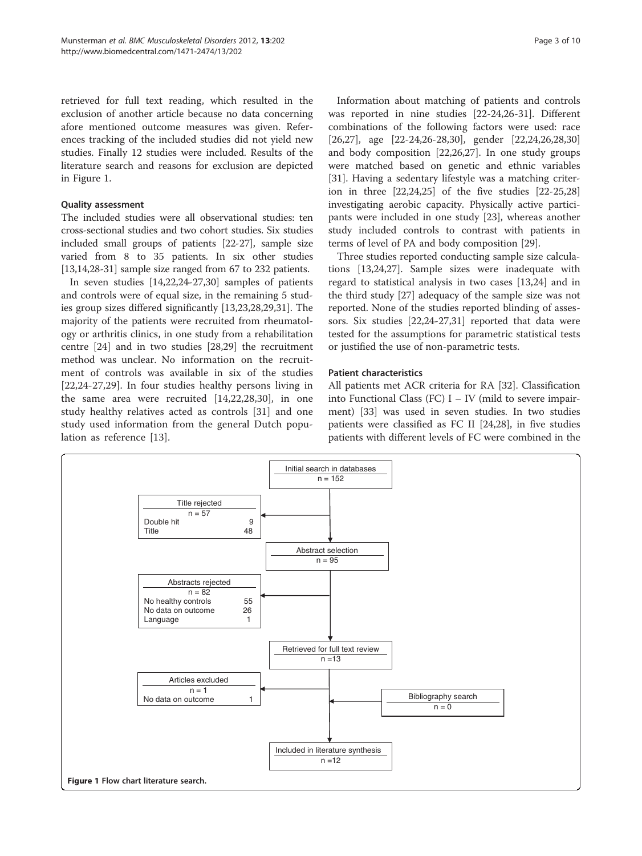retrieved for full text reading, which resulted in the exclusion of another article because no data concerning afore mentioned outcome measures was given. References tracking of the included studies did not yield new studies. Finally 12 studies were included. Results of the literature search and reasons for exclusion are depicted in Figure 1.

#### Quality assessment

The included studies were all observational studies: ten cross-sectional studies and two cohort studies. Six studies included small groups of patients [\[22-27\]](#page-8-0), sample size varied from 8 to 35 patients. In six other studies [[13,14,28-31\]](#page-8-0) sample size ranged from 67 to 232 patients.

In seven studies [[14](#page-8-0),[22,24](#page-8-0)-[27,30\]](#page-8-0) samples of patients and controls were of equal size, in the remaining 5 studies group sizes differed significantly [\[13,23,28,29,31](#page-8-0)]. The majority of the patients were recruited from rheumatology or arthritis clinics, in one study from a rehabilitation centre [[24\]](#page-8-0) and in two studies [\[28,29\]](#page-8-0) the recruitment method was unclear. No information on the recruitment of controls was available in six of the studies [[22,24](#page-8-0)-[27,29](#page-8-0)]. In four studies healthy persons living in the same area were recruited [[14,22,28](#page-8-0),[30\]](#page-8-0), in one study healthy relatives acted as controls [[31\]](#page-8-0) and one study used information from the general Dutch population as reference [\[13](#page-8-0)].

Information about matching of patients and controls was reported in nine studies [\[22-24,26](#page-8-0)-[31\]](#page-8-0). Different combinations of the following factors were used: race [[26,27\]](#page-8-0), age [\[22](#page-8-0)-[24](#page-8-0),[26](#page-8-0)-[28,30\]](#page-8-0), gender [[22,24,26](#page-8-0),[28](#page-8-0),[30](#page-8-0)] and body composition [\[22,26,27](#page-8-0)]. In one study groups were matched based on genetic and ethnic variables [[31\]](#page-8-0). Having a sedentary lifestyle was a matching criterion in three [\[22,24,25](#page-8-0)] of the five studies [\[22](#page-8-0)-[25](#page-8-0),[28](#page-8-0)] investigating aerobic capacity. Physically active participants were included in one study [[23](#page-8-0)], whereas another study included controls to contrast with patients in terms of level of PA and body composition [[29](#page-8-0)].

Three studies reported conducting sample size calculations [[13,24,27\]](#page-8-0). Sample sizes were inadequate with regard to statistical analysis in two cases [[13,24\]](#page-8-0) and in the third study [\[27\]](#page-8-0) adequacy of the sample size was not reported. None of the studies reported blinding of assessors. Six studies [[22](#page-8-0),[24](#page-8-0)-[27,31\]](#page-8-0) reported that data were tested for the assumptions for parametric statistical tests or justified the use of non-parametric tests.

#### Patient characteristics

All patients met ACR criteria for RA [[32](#page-9-0)]. Classification into Functional Class (FC) I – IV (mild to severe impairment) [\[33](#page-9-0)] was used in seven studies. In two studies patients were classified as FC II [\[24,28\]](#page-8-0), in five studies patients with different levels of FC were combined in the

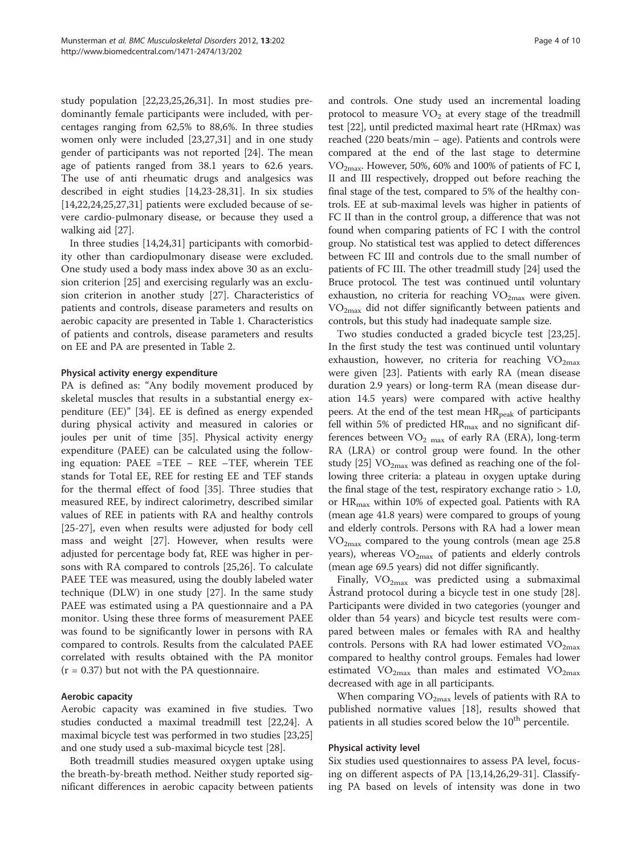study population [\[22,23,25,26,31\]](#page-8-0). In most studies predominantly female participants were included, with percentages ranging from 62,5% to 88,6%. In three studies women only were included [[23,27,31\]](#page-8-0) and in one study gender of participants was not reported [\[24](#page-8-0)]. The mean age of patients ranged from 38.1 years to 62.6 years. The use of anti rheumatic drugs and analgesics was described in eight studies [\[14,23-28,31](#page-8-0)]. In six studies  $[14, 22, 24, 25, 27, 31]$  patients were excluded because of severe cardio-pulmonary disease, or because they used a walking aid [\[27](#page-8-0)].

In three studies [\[14,24,31](#page-8-0)] participants with comorbidity other than cardiopulmonary disease were excluded. One study used a body mass index above 30 as an exclusion criterion [[25\]](#page-8-0) and exercising regularly was an exclusion criterion in another study [\[27](#page-8-0)]. Characteristics of patients and controls, disease parameters and results on aerobic capacity are presented in Table [1.](#page-4-0) Characteristics of patients and controls, disease parameters and results on EE and PA are presented in Table [2](#page-5-0).

#### Physical activity energy expenditure

PA is defined as: "Any bodily movement produced by skeletal muscles that results in a substantial energy expenditure (EE)" [[34](#page-9-0)]. EE is defined as energy expended during physical activity and measured in calories or joules per unit of time [[35\]](#page-9-0). Physical activity energy expenditure (PAEE) can be calculated using the following equation: PAEE =TEE − REE –TEF, wherein TEE stands for Total EE, REE for resting EE and TEF stands for the thermal effect of food [[35\]](#page-9-0). Three studies that measured REE, by indirect calorimetry, described similar values of REE in patients with RA and healthy controls [[25-27](#page-8-0)], even when results were adjusted for body cell mass and weight [\[27](#page-8-0)]. However, when results were adjusted for percentage body fat, REE was higher in persons with RA compared to controls [[25,26\]](#page-8-0). To calculate PAEE TEE was measured, using the doubly labeled water technique (DLW) in one study [[27](#page-8-0)]. In the same study PAEE was estimated using a PA questionnaire and a PA monitor. Using these three forms of measurement PAEE was found to be significantly lower in persons with RA compared to controls. Results from the calculated PAEE correlated with results obtained with the PA monitor  $(r = 0.37)$  but not with the PA questionnaire.

# Aerobic capacity

Aerobic capacity was examined in five studies. Two studies conducted a maximal treadmill test [[22,24\]](#page-8-0). A maximal bicycle test was performed in two studies [\[23,25](#page-8-0)] and one study used a sub-maximal bicycle test [[28](#page-8-0)].

Both treadmill studies measured oxygen uptake using the breath-by-breath method. Neither study reported significant differences in aerobic capacity between patients

and controls. One study used an incremental loading protocol to measure  $VO<sub>2</sub>$  at every stage of the treadmill test [[22\]](#page-8-0), until predicted maximal heart rate (HRmax) was reached (220 beats/min – age). Patients and controls were compared at the end of the last stage to determine  $VO<sub>2max</sub>$ . However, 50%, 60% and 100% of patients of FC I, II and III respectively, dropped out before reaching the final stage of the test, compared to 5% of the healthy controls. EE at sub-maximal levels was higher in patients of FC II than in the control group, a difference that was not found when comparing patients of FC I with the control group. No statistical test was applied to detect differences between FC III and controls due to the small number of patients of FC III. The other treadmill study [[24](#page-8-0)] used the Bruce protocol. The test was continued until voluntary exhaustion, no criteria for reaching  $VO<sub>2max</sub>$  were given.  $VO<sub>2max</sub>$  did not differ significantly between patients and controls, but this study had inadequate sample size.

Two studies conducted a graded bicycIe test [\[23,25](#page-8-0)]. In the first study the test was continued until voluntary exhaustion, however, no criteria for reaching  $VO<sub>2max</sub>$ were given [\[23\]](#page-8-0). Patients with early RA (mean disease duration 2.9 years) or long-term RA (mean disease duration 14.5 years) were compared with active healthy peers. At the end of the test mean HR<sub>peak</sub> of participants fell within 5% of predicted  $HR_{max}$  and no significant differences between  $VO<sub>2 max</sub>$  of early RA (ERA), long-term RA (LRA) or control group were found. In the other study [\[25\]](#page-8-0)  $\text{VO}_{2\text{max}}$  was defined as reaching one of the following three criteria: a plateau in oxygen uptake during the final stage of the test, respiratory exchange ratio  $> 1.0$ , or HR<sub>max</sub> within 10% of expected goal. Patients with RA (mean age 41.8 years) were compared to groups of young and elderly controls. Persons with RA had a lower mean  $VO_{2max}$  compared to the young controls (mean age 25.8) years), whereas  $VO<sub>2max</sub>$  of patients and elderly controls (mean age 69.5 years) did not differ significantly.

Finally,  $VO_{2max}$  was predicted using a submaximal Åstrand protocol during a bicycle test in one study [\[28](#page-8-0)]. Participants were divided in two categories (younger and older than 54 years) and bicycle test results were compared between males or females with RA and healthy controls. Persons with RA had lower estimated  $VO_{2max}$ compared to healthy control groups. Females had lower estimated  $VO_{2max}$  than males and estimated  $VO_{2max}$ decreased with age in all participants.

When comparing  $VO_{2max}$  levels of patients with RA to published normative values [[18\]](#page-8-0), results showed that patients in all studies scored below the 10<sup>th</sup> percentile.

#### Physical activity level

Six studies used questionnaires to assess PA level, focusing on different aspects of PA [\[13,14,26,29-31](#page-8-0)]. Classifying PA based on levels of intensity was done in two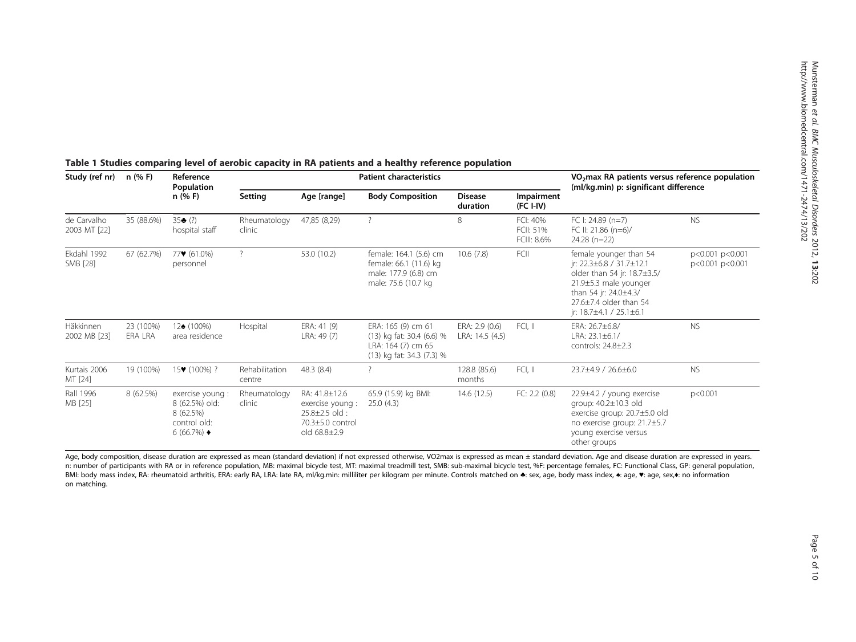| Study (ref nr)                   | n (% F)                     | Reference<br>Population<br>$n$ (% F)                                                         | <b>Patient characteristics</b> |                                                                                               |                                                                                                    |                                   |                                      | VO <sub>2</sub> max RA patients versus reference population<br>(ml/kg.min) p: significant difference                                                                                                         |                                    |
|----------------------------------|-----------------------------|----------------------------------------------------------------------------------------------|--------------------------------|-----------------------------------------------------------------------------------------------|----------------------------------------------------------------------------------------------------|-----------------------------------|--------------------------------------|--------------------------------------------------------------------------------------------------------------------------------------------------------------------------------------------------------------|------------------------------------|
|                                  |                             |                                                                                              | <b>Setting</b>                 | Age [range]                                                                                   | <b>Body Composition</b>                                                                            | <b>Disease</b><br>duration        | Impairment<br>$(FC I-IV)$            |                                                                                                                                                                                                              |                                    |
| de Carvalho<br>2003 MT [22]      | 35 (88.6%)                  | $35 - (?)$<br>hospital staff                                                                 | Rheumatology<br>clinic         | 47,85 (8,29)                                                                                  | $\overline{\phantom{a}}$                                                                           | 8                                 | FCI: 40%<br>FCII: 51%<br>FCIII: 8.6% | FC I: 24.89 $(n=7)$<br>FC II: 21.86 (n=6)/<br>$24.28$ (n=22)                                                                                                                                                 | <b>NS</b>                          |
| Ekdahl 1992<br>SMB [28]          | 67 (62.7%)                  | $77$ (61.0%)<br>personnel                                                                    | $\overline{?}$                 | 53.0 (10.2)                                                                                   | female: 164.1 (5.6) cm<br>female: 66.1 (11.6) kg<br>male: 177.9 (6.8) cm<br>male: 75.6 (10.7 kg    | 10.6(7.8)                         | FCII                                 | female younger than 54<br>jr: $22.3 \pm 6.8 / 31.7 \pm 12.1$<br>older than 54 jr: 18.7±3.5/<br>21.9±5.3 male younger<br>than 54 jr: 24.0±4.3/<br>27.6±7.4 older than 54<br>jr: $18.7 \pm 4.1 / 25.1 \pm 6.1$ | p<0.001 p<0.001<br>p<0.001 p<0.001 |
| <b>Häkkinnen</b><br>2002 MB [23] | 23 (100%)<br><b>ERA LRA</b> | $12(100\%)$<br>area residence                                                                | Hospital                       | ERA: 41 (9)<br>LRA: 49 (7)                                                                    | ERA: 165 (9) cm 61<br>(13) kg fat: 30.4 (6.6) %<br>LRA: 164 (7) cm 65<br>(13) kg fat: 34.3 (7.3) % | ERA: 2.9 (0.6)<br>LRA: 14.5 (4.5) | FCI, II                              | ERA: 26.7±6.8/<br>LRA: $23.1 \pm 6.1/$<br>controls: 24.8±2.3                                                                                                                                                 | <b>NS</b>                          |
| Kurtais 2006<br>MT [24]          | 19 (100%)                   | 15 (100%) ?                                                                                  | Rehabilitation<br>centre       | 48.3 (8.4)                                                                                    |                                                                                                    | 128.8 (85.6)<br>months            | FCI, II                              | 23.7±4.9 / 26.6±6.0                                                                                                                                                                                          | <b>NS</b>                          |
| Rall 1996<br>MB [25]             | 8 (62.5%)                   | exercise young :<br>8 (62.5%) old:<br>8 (62.5%)<br>control old:<br>6 (66.7%) $\triangleleft$ | Rheumatology<br>clinic         | RA: 41.8±12.6<br>exercise young :<br>$25.8 \pm 2.5$ old :<br>70.3±5.0 control<br>old 68.8±2.9 | 65.9 (15.9) kg BMI:<br>25.0(4.3)                                                                   | 14.6(12.5)                        | FC: 2.2(0.8)                         | 22.9±4.2 / young exercise<br>group: 40.2±10.3 old<br>exercise group: 20.7±5.0 old<br>no exercise group: 21.7±5.7<br>young exercise versus<br>other groups                                                    | p<0.001                            |

# <span id="page-4-0"></span>Table <sup>1</sup> Studies comparing level of aerobic capacity in RA patients and <sup>a</sup> healthy reference population

Age, body composition, disease duration are expressed as mean (standard deviation) if not expressed otherwise, VO2max is expressed as mean ± standard deviation. Age and disease duration are expressed in years. n: number of participants with RA or in reference population, MB: maximal bicycle test, MT: maximal treadmill test, SMB: sub-maximal bicycle test, %F: percentage females, FC: Functional Class, GP: general population, BMI: body mass index, RA: rheumatoid arthritis, ERA: early RA, LRA: late RA, ml/kg.min: milliliter per kilogram per minute. Controls matched on ♣: sex, age, body mass index, ♣: age, ♥: age, ♥: age, ♦: no information on matching.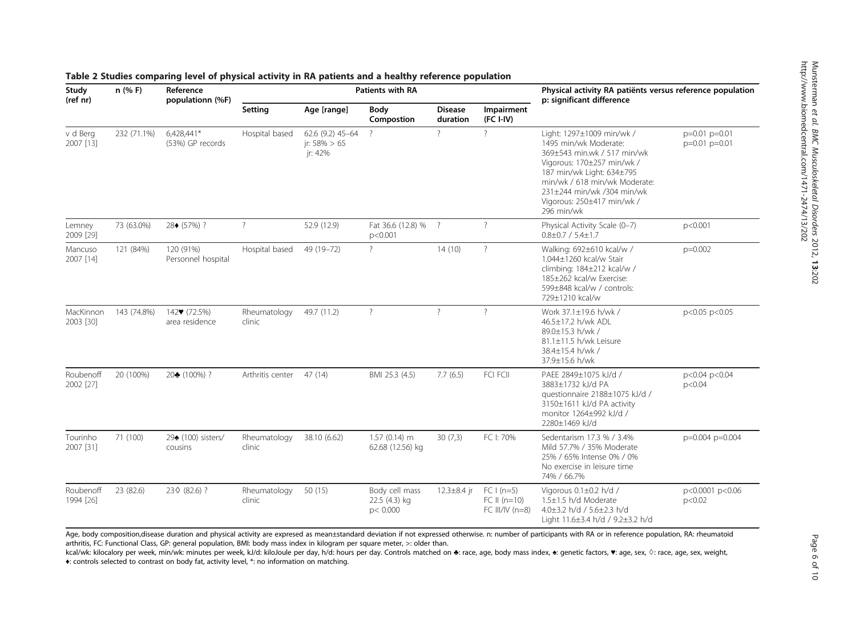| Study<br>(ref nr)      | $n$ (% F)   | Reference<br>populationn (%F)             | Patients with RA       |                                                |                                             |                            |                                                     | Physical activity RA patiënts versus reference population<br>p: significant difference                                                                                                                                                                  |                                        |
|------------------------|-------------|-------------------------------------------|------------------------|------------------------------------------------|---------------------------------------------|----------------------------|-----------------------------------------------------|---------------------------------------------------------------------------------------------------------------------------------------------------------------------------------------------------------------------------------------------------------|----------------------------------------|
|                        |             |                                           | Setting                | Age [range]                                    | Body<br>Compostion                          | <b>Disease</b><br>duration | Impairment<br>$(FC I-IV)$                           |                                                                                                                                                                                                                                                         |                                        |
| v d Berg<br>2007 [13]  | 232 (71.1%) | 6,428,441*<br>(53%) GP records            | Hospital based         | 62.6 (9.2) 45-64<br>ir: $58\% > 65$<br>ir: 42% | $\overline{?}$                              | $\overline{?}$             | $\overline{?}$                                      | Light: 1297±1009 min/wk /<br>1495 min/wk Moderate:<br>369±543 min.wk / 517 min/wk<br>Vigorous: 170±257 min/wk /<br>187 min/wk Light: 634±795<br>min/wk / 618 min/wk Moderate:<br>231±244 min/wk /304 min/wk<br>Vigorous: 250±417 min/wk /<br>296 min/wk | $p=0.01$ $p=0.01$<br>$p=0.01$ $p=0.01$ |
| Lemney<br>2009 [29]    | 73 (63.0%)  | 28 (57%)?                                 | $\overline{?}$         | 52.9 (12.9)                                    | Fat 36.6 (12.8) %<br>p<0.001                | $\overline{?}$             | $\overline{?}$                                      | Physical Activity Scale (0-7)<br>$0.8 \pm 0.7 / 5.4 \pm 1.7$                                                                                                                                                                                            | p<0.001                                |
| Mancuso<br>2007 [14]   | 121 (84%)   | 120 (91%)<br>Personnel hospital           | Hospital based         | 49 (19-72)                                     | $\overline{?}$                              | 14(10)                     | $\overline{?}$                                      | Walking: 692±610 kcal/w /<br>1.044±1260 kcal/w Stair<br>climbing: 184±212 kcal/w /<br>185±262 kcal/w Exercise:<br>599±848 kcal/w / controls:<br>729±1210 kcal/w                                                                                         | $p=0.002$                              |
| MacKinnon<br>2003 [30] | 143 (74.8%) | 142 (72.5%)<br>area residence             | Rheumatology<br>clinic | 49.7 (11.2)                                    | $\overline{\phantom{a}}$                    | $\overline{\phantom{a}}$   | $\overline{\phantom{a}}$                            | Work 37.1±19.6 h/wk /<br>46.5±17.2 h/wk ADL<br>89.0±15.3 h/wk /<br>81.1±11.5 h/wk Leisure<br>38.4±15.4 h/wk /<br>37.9±15.6 h/wk                                                                                                                         | p<0.05 p<0.05                          |
| Roubenoff<br>2002 [27] | 20 (100%)   | 20 (100%) ?                               | Arthritis center       | 47 (14)                                        | BMI 25.3 (4.5)                              | 7.7(6.5)                   | FCI FCII                                            | PAEE 2849±1075 kJ/d /<br>3883±1732 kJ/d PA<br>questionnaire 2188±1075 kJ/d /<br>3150±1611 kJ/d PA activity<br>monitor 1264±992 kJ/d /<br>2280±1469 kJ/d                                                                                                 | p<0.04 p<0.04<br>p<0.04                |
| Tourinho<br>2007 [31]  | 71 (100)    | 29 <del>1</del> (100) sisters/<br>cousins | Rheumatology<br>clinic | 38.10 (6.62)                                   | $1.57(0.14)$ m<br>62.68 (12.56) kg          | 30(7,3)                    | FC I: 70%                                           | Sedentarism 17.3 % / 3.4%<br>Mild 57.7% / 35% Moderate<br>25% / 65% Intense 0% / 0%<br>No exercise in leisure time<br>74% / 66.7%                                                                                                                       | p=0.004 p=0.004                        |
| Roubenoff<br>1994 [26] | 23 (82.6)   | 23 (82.6) ?                               | Rheumatology<br>clinic | 50 (15)                                        | Body cell mass<br>22.5 (4.3) kg<br>p< 0.000 | 12.3±8.4 jr                | $FC I (n=5)$<br>$FC II (n=10)$<br>FC III/IV $(n=8)$ | Vigorous 0.1±0.2 h/d /<br>1.5±1.5 h/d Moderate<br>4.0±3.2 h/d / 5.6±2.3 h/d<br>Light 11.6±3.4 h/d / 9.2±3.2 h/d                                                                                                                                         | p<0.0001 p<0.06<br>p<0.02              |

## <span id="page-5-0"></span>Table 2 Studies comparing level of physical activity in RA patients and <sup>a</sup> healthy reference population

Age, body composition,disease duration and physical activity are expresed as mean±standard deviation if not expressed otherwise. n: number of participants with RA or in reference population, RA: rheumatoid arthritis, FC: Functional Class, GP: general population, BMI: body mass index in kilogram per square meter, >: older than.

kcal/wk: kilocalory per week, min/wk: minutes per week, kJ/d: kiloJoule per day, h/d: hours per day. Controls matched on ♣: race, age, body mass index, ♣: genetic factors, ♥: age, sex, ◊: race, age, sex, weight, ♦: controls selected to contrast on body fat, activity level, \*: no information on matching.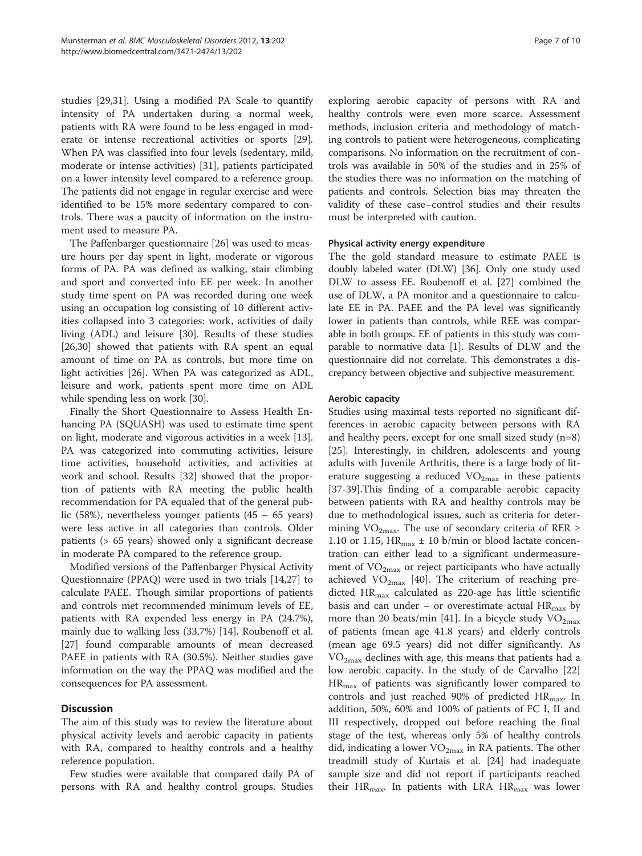studies [[29,31](#page-8-0)]. Using a modified PA Scale to quantify intensity of PA undertaken during a normal week, patients with RA were found to be less engaged in moderate or intense recreational activities or sports [\[29](#page-8-0)]. When PA was classified into four levels (sedentary, mild, moderate or intense activities) [\[31](#page-8-0)], patients participated on a lower intensity level compared to a reference group. The patients did not engage in regular exercise and were identified to be 15% more sedentary compared to controls. There was a paucity of information on the instrument used to measure PA.

The Paffenbarger questionnaire [\[26](#page-8-0)] was used to measure hours per day spent in light, moderate or vigorous forms of PA. PA was defined as walking, stair climbing and sport and converted into EE per week. In another study time spent on PA was recorded during one week using an occupation log consisting of 10 different activities collapsed into 3 categories: work, activities of daily living (ADL) and leisure [\[30](#page-8-0)]. Results of these studies [[26,30\]](#page-8-0) showed that patients with RA spent an equal amount of time on PA as controls, but more time on light activities [[26\]](#page-8-0). When PA was categorized as ADL, leisure and work, patients spent more time on ADL while spending less on work [[30](#page-8-0)].

Finally the Short Questionnaire to Assess Health Enhancing PA (SQUASH) was used to estimate time spent on light, moderate and vigorous activities in a week [\[13](#page-8-0)]. PA was categorized into commuting activities, leisure time activities, household activities, and activities at work and school. Results [[32\]](#page-9-0) showed that the proportion of patients with RA meeting the public health recommendation for PA equaled that of the general public (58%), nevertheless younger patients (45 – 65 years) were less active in all categories than controls. Older patients (> 65 years) showed only a significant decrease in moderate PA compared to the reference group.

Modified versions of the Paffenbarger Physical Activity Questionnaire (PPAQ) were used in two trials [[14,27\]](#page-8-0) to calculate PAEE. Though similar proportions of patients and controls met recommended minimum levels of EE, patients with RA expended less energy in PA (24.7%), mainly due to walking less (33.7%) [[14](#page-8-0)]. Roubenoff et al. [[27\]](#page-8-0) found comparable amounts of mean decreased PAEE in patients with RA (30.5%). Neither studies gave information on the way the PPAQ was modified and the consequences for PA assessment.

# **Discussion**

The aim of this study was to review the literature about physical activity levels and aerobic capacity in patients with RA, compared to healthy controls and a healthy reference population.

Few studies were available that compared daily PA of persons with RA and healthy control groups. Studies

exploring aerobic capacity of persons with RA and healthy controls were even more scarce. Assessment methods, inclusion criteria and methodology of matching controls to patient were heterogeneous, complicating comparisons. No information on the recruitment of controls was available in 50% of the studies and in 25% of the studies there was no information on the matching of patients and controls. Selection bias may threaten the validity of these case–control studies and their results must be interpreted with caution.

#### Physical activity energy expenditure

The the gold standard measure to estimate PAEE is doubly labeled water (DLW) [[36](#page-9-0)]. Only one study used DLW to assess EE. Roubenoff et al. [\[27\]](#page-8-0) combined the use of DLW, a PA monitor and a questionnaire to calculate EE in PA. PAEE and the PA level was significantly lower in patients than controls, while REE was comparable in both groups. EE of patients in this study was comparable to normative data [\[1](#page-8-0)]. Results of DLW and the questionnaire did not correlate. This demonstrates a discrepancy between objective and subjective measurement.

#### Aerobic capacity

Studies using maximal tests reported no significant differences in aerobic capacity between persons with RA and healthy peers, except for one small sized study (n=8) [[25\]](#page-8-0). Interestingly, in children, adolescents and young adults with Juvenile Arthritis, there is a large body of literature suggesting a reduced  $VO_{2max}$  in these patients [[37-39](#page-9-0)].This finding of a comparable aerobic capacity between patients with RA and healthy controls may be due to methodological issues, such as criteria for determining VO<sub>2max</sub>. The use of secondary criteria of RER ≥ 1.10 or 1.15,  $\text{HR}_{\text{max}} \pm 10$  b/min or blood lactate concentration can either lead to a significant undermeasurement of  $VO_{2max}$  or reject participants who have actually achieved  $VO_{2max}$  [\[40](#page-9-0)]. The criterium of reaching predicted  $HR_{\text{max}}$  calculated as 220-age has little scientific basis and can under – or overestimate actual  $HR_{\text{max}}$  by more than 20 beats/min [\[41\]](#page-9-0). In a bicycle study  $VO_{2max}$ of patients (mean age 41.8 years) and elderly controls (mean age 69.5 years) did not differ significantly. As  $VO_{2max}$  declines with age, this means that patients had a low aerobic capacity. In the study of de Carvalho [[22](#page-8-0)]  $HR_{\text{max}}$  of patients was significantly lower compared to controls and just reached 90% of predicted  $HR_{max}$ . In addition, 50%, 60% and 100% of patients of FC I, II and III respectively, dropped out before reaching the final stage of the test, whereas only 5% of healthy controls did, indicating a lower  $\rm VO_{2max}$  in RA patients. The other treadmill study of Kurtais et al. [[24\]](#page-8-0) had inadequate sample size and did not report if participants reached their  $HR_{\text{max}}$ . In patients with LRA  $HR_{\text{max}}$  was lower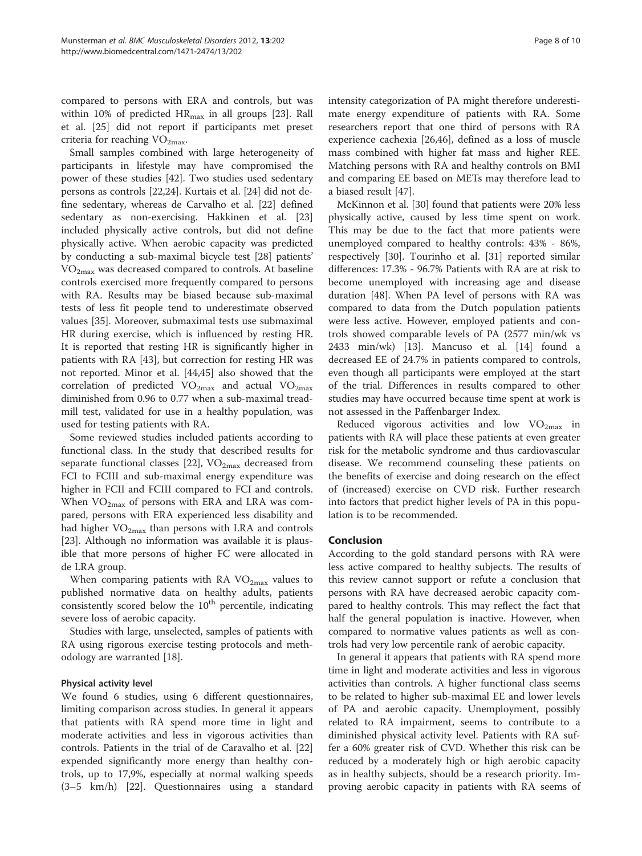compared to persons with ERA and controls, but was within 10% of predicted HR<sub>max</sub> in all groups [\[23](#page-8-0)]. Rall et al. [[25\]](#page-8-0) did not report if participants met preset criteria for reaching  $VO<sub>2max</sub>$ .

Small samples combined with large heterogeneity of participants in lifestyle may have compromised the power of these studies [[42\]](#page-9-0). Two studies used sedentary persons as controls [\[22,24](#page-8-0)]. Kurtais et al. [\[24\]](#page-8-0) did not define sedentary, whereas de Carvalho et al. [\[22\]](#page-8-0) defined sedentary as non-exercising. Hakkinen et al. [[23](#page-8-0)] included physically active controls, but did not define physically active. When aerobic capacity was predicted by conducting a sub-maximal bicycle test [\[28](#page-8-0)] patients'  $VO<sub>2max</sub>$  was decreased compared to controls. At baseline controls exercised more frequently compared to persons with RA. Results may be biased because sub-maximal tests of less fit people tend to underestimate observed values [[35\]](#page-9-0). Moreover, submaximal tests use submaximal HR during exercise, which is influenced by resting HR. It is reported that resting HR is significantly higher in patients with RA [[43\]](#page-9-0), but correction for resting HR was not reported. Minor et al. [[44,45](#page-9-0)] also showed that the correlation of predicted  $VO_{2max}$  and actual  $VO_{2max}$ diminished from 0.96 to 0.77 when a sub-maximal treadmill test, validated for use in a healthy population, was used for testing patients with RA.

Some reviewed studies included patients according to functional class. In the study that described results for separate functional classes [\[22](#page-8-0)],  $VO_{2max}$  decreased from FCI to FCIII and sub-maximal energy expenditure was higher in FCII and FCIII compared to FCI and controls. When  $VO_{2max}$  of persons with ERA and LRA was compared, persons with ERA experienced less disability and had higher  $VO<sub>2max</sub>$  than persons with LRA and controls [[23\]](#page-8-0). Although no information was available it is plausible that more persons of higher FC were allocated in de LRA group.

When comparing patients with RA  $VO_{2max}$  values to published normative data on healthy adults, patients consistently scored below the  $10<sup>th</sup>$  percentile, indicating severe loss of aerobic capacity.

Studies with large, unselected, samples of patients with RA using rigorous exercise testing protocols and methodology are warranted [[18](#page-8-0)].

## Physical activity level

We found 6 studies, using 6 different questionnaires, limiting comparison across studies. In general it appears that patients with RA spend more time in light and moderate activities and less in vigorous activities than controls. Patients in the trial of de Caravalho et al. [[22](#page-8-0)] expended significantly more energy than healthy controls, up to 17,9%, especially at normal walking speeds (3–5 km/h) [\[22\]](#page-8-0). Questionnaires using a standard intensity categorization of PA might therefore underestimate energy expenditure of patients with RA. Some researchers report that one third of persons with RA experience cachexia [[26,](#page-8-0)[46\]](#page-9-0), defined as a loss of muscle mass combined with higher fat mass and higher REE. Matching persons with RA and healthy controls on BMI and comparing EE based on METs may therefore lead to a biased result [[47](#page-9-0)].

McKinnon et al. [\[30](#page-8-0)] found that patients were 20% less physically active, caused by less time spent on work. This may be due to the fact that more patients were unemployed compared to healthy controls: 43% - 86%, respectively [\[30](#page-8-0)]. Tourinho et al. [\[31](#page-8-0)] reported similar differences: 17.3% - 96.7% Patients with RA are at risk to become unemployed with increasing age and disease duration [\[48\]](#page-9-0). When PA level of persons with RA was compared to data from the Dutch population patients were less active. However, employed patients and controls showed comparable levels of PA (2577 min/wk vs 2433 min/wk) [[13\]](#page-8-0). Mancuso et al. [[14](#page-8-0)] found a decreased EE of 24.7% in patients compared to controls, even though all participants were employed at the start of the trial. Differences in results compared to other studies may have occurred because time spent at work is not assessed in the Paffenbarger Index.

Reduced vigorous activities and low  $VO<sub>2max</sub>$  in patients with RA will place these patients at even greater risk for the metabolic syndrome and thus cardiovascular disease. We recommend counseling these patients on the benefits of exercise and doing research on the effect of (increased) exercise on CVD risk. Further research into factors that predict higher levels of PA in this population is to be recommended.

## Conclusion

According to the gold standard persons with RA were less active compared to healthy subjects. The results of this review cannot support or refute a conclusion that persons with RA have decreased aerobic capacity compared to healthy controls. This may reflect the fact that half the general population is inactive. However, when compared to normative values patients as well as controls had very low percentile rank of aerobic capacity.

In general it appears that patients with RA spend more time in light and moderate activities and less in vigorous activities than controls. A higher functional class seems to be related to higher sub-maximal EE and lower levels of PA and aerobic capacity. Unemployment, possibly related to RA impairment, seems to contribute to a diminished physical activity level. Patients with RA suffer a 60% greater risk of CVD. Whether this risk can be reduced by a moderately high or high aerobic capacity as in healthy subjects, should be a research priority. Improving aerobic capacity in patients with RA seems of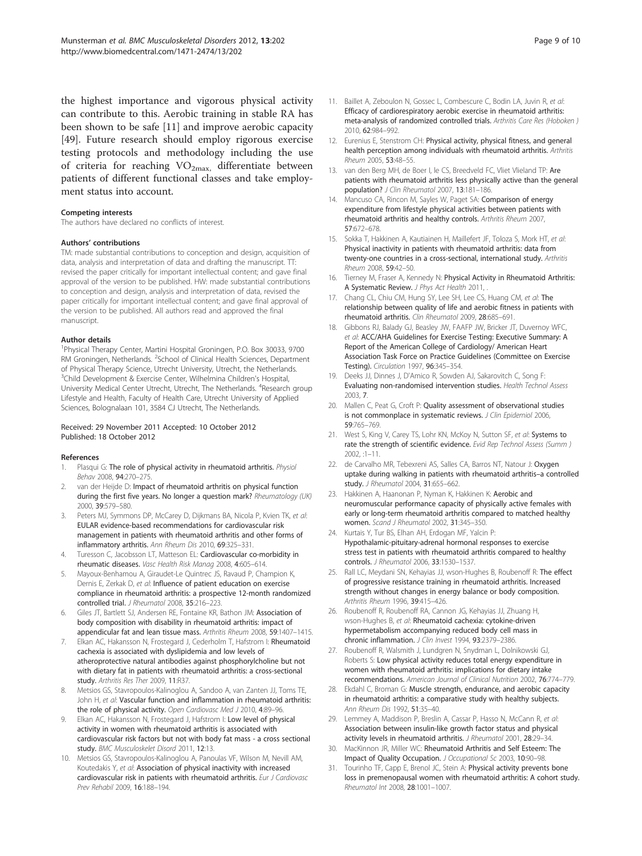<span id="page-8-0"></span>the highest importance and vigorous physical activity can contribute to this. Aerobic training in stable RA has been shown to be safe [11] and improve aerobic capacity [[49\]](#page-9-0). Future research should employ rigorous exercise testing protocols and methodology including the use of criteria for reaching  $VO_{2max}$ , differentiate between patients of different functional classes and take employment status into account.

#### Competing interests

The authors have declared no conflicts of interest.

#### Authors' contributions

TM: made substantial contributions to conception and design, acquisition of data, analysis and interpretation of data and drafting the manuscript. TT: revised the paper critically for important intellectual content; and gave final approval of the version to be published. HW: made substantial contributions to conception and design, analysis and interpretation of data, revised the paper critically for important intellectual content; and gave final approval of the version to be published. All authors read and approved the final manuscript.

#### Author details

<sup>1</sup> Physical Therapy Center, Martini Hospital Groningen, P.O. Box 30033, 9700 RM Groningen, Netherlands. <sup>2</sup>School of Clinical Health Sciences, Department of Physical Therapy Science, Utrecht University, Utrecht, the Netherlands. <sup>3</sup>Child Development & Exercise Center, Wilhelmina Children's Hospital, University Medical Center Utrecht, Utrecht, The Netherlands. <sup>4</sup>Research group Lifestyle and Health, Faculty of Health Care, Utrecht University of Applied Sciences, Bolognalaan 101, 3584 CJ Utrecht, The Netherlands.

#### Received: 29 November 2011 Accepted: 10 October 2012 Published: 18 October 2012

#### References

- Plasqui G: The role of physical activity in rheumatoid arthritis. Physiol Behav 2008, 94:270–275.
- 2. van der Heijde D: Impact of rheumatoid arthritis on physical function during the first five years. No longer a question mark? Rheumatology (UK) 2000, 39:579–580.
- 3. Peters MJ, Symmons DP, McCarey D, Dijkmans BA, Nicola P, Kvien TK, et al: EULAR evidence-based recommendations for cardiovascular risk management in patients with rheumatoid arthritis and other forms of inflammatory arthritis. Ann Rheum Dis 2010, 69:325–331.
- 4. Turesson C, Jacobsson LT, Matteson EL: Cardiovascular co-morbidity in rheumatic diseases. Vasc Health Risk Manag 2008, 4:605–614.
- 5. Mayoux-Benhamou A, Giraudet-Le Quintrec JS, Ravaud P, Champion K, Dernis E, Zerkak D, et al: Influence of patient education on exercise compliance in rheumatoid arthritis: a prospective 12-month randomized controlled trial. J Rheumatol 2008, 35:216–223.
- Giles JT, Bartlett SJ, Andersen RE, Fontaine KR, Bathon JM: Association of body composition with disability in rheumatoid arthritis: impact of appendicular fat and lean tissue mass. Arthritis Rheum 2008, 59:1407–1415.
- 7. Elkan AC, Hakansson N, Frostegard J, Cederholm T, Hafstrom I: Rheumatoid cachexia is associated with dyslipidemia and low levels of atheroprotective natural antibodies against phosphorylcholine but not with dietary fat in patients with rheumatoid arthritis: a cross-sectional study. Arthritis Res Ther 2009, 11:R37.
- Metsios GS, Stavropoulos-Kalinoglou A, Sandoo A, van Zanten JJ, Toms TE, John H, et al: Vascular function and inflammation in rheumatoid arthritis: the role of physical activity. Open Cardiovasc Med J 2010, 4:89-96.
- 9. Elkan AC, Hakansson N, Frostegard J, Hafstrom I: Low level of physical activity in women with rheumatoid arthritis is associated with cardiovascular risk factors but not with body fat mass - a cross sectional study. BMC Musculoskelet Disord 2011, 12:13.
- 10. Metsios GS, Stavropoulos-Kalinoglou A, Panoulas VF, Wilson M, Nevill AM, Koutedakis Y, et al: Association of physical inactivity with increased cardiovascular risk in patients with rheumatoid arthritis. Eur J Cardiovasc Prev Rehabil 2009, 16:188–194.
- 11. Baillet A, Zeboulon N, Gossec L, Combescure C, Bodin LA, Juvin R, et al: Efficacy of cardiorespiratory aerobic exercise in rheumatoid arthritis: meta-analysis of randomized controlled trials. Arthritis Care Res (Hoboken ) 2010, 62:984–992.
- 12. Eurenius E, Stenstrom CH: Physical activity, physical fitness, and general health perception among individuals with rheumatoid arthritis. Arthritis Rheum 2005, 53:48–55.
- 13. van den Berg MH, de Boer I, le CS, Breedveld FC, Vliet Vlieland TP: Are patients with rheumatoid arthritis less physically active than the general population? J Clin Rheumatol 2007, 13:181–186.
- 14. Mancuso CA, Rincon M, Sayles W, Paget SA: Comparison of energy expenditure from lifestyle physical activities between patients with rheumatoid arthritis and healthy controls. Arthritis Rheum 2007, 57:672–678.
- 15. Sokka T, Hakkinen A, Kautiainen H, Maillefert JF, Toloza S, Mork HT, et al: Physical inactivity in patients with rheumatoid arthritis: data from twenty-one countries in a cross-sectional, international study. Arthritis Rheum 2008, 59:42–50.
- 16. Tierney M, Fraser A, Kennedy N: Physical Activity in Rheumatoid Arthritis: A Systematic Review. J Phys Act Health 2011,
- 17. Chang CL, Chiu CM, Hung SY, Lee SH, Lee CS, Huang CM, et al: The relationship between quality of life and aerobic fitness in patients with rheumatoid arthritis. Clin Rheumatol 2009, 28:685–691.
- 18. Gibbons RJ, Balady GJ, Beasley JW, FAAFP JW, Bricker JT, Duvernoy WFC, et al: ACC/AHA Guidelines for Exercise Testing: Executive Summary: A Report of the American College of Cardiology/ American Heart Association Task Force on Practice Guidelines (Committee on Exercise Testing). Circulation 1997, 96:345–354.
- 19. Deeks JJ, Dinnes J, D'Amico R, Sowden AJ, Sakarovitch C, Song F: Evaluating non-randomised intervention studies. Health Technol Assess 2003, 7.
- 20. Mallen C, Peat G, Croft P: Quality assessment of observational studies is not commonplace in systematic reviews. J Clin Epidemiol 2006, 59:765–769.
- 21. West S, King V, Carey TS, Lohr KN, McKoy N, Sutton SF, et al: Systems to rate the strength of scientific evidence. Evid Rep Technol Assess (Summ ) 2002, :1–11.
- 22. de Carvalho MR, Tebexreni AS, Salles CA, Barros NT, Natour J: Oxygen uptake during walking in patients with rheumatoid arthritis–a controlled study. J Rheumatol 2004, 31:655-662.
- 23. Hakkinen A, Haanonan P, Nyman K, Hakkinen K: Aerobic and neuromuscular performance capacity of physically active females with early or long-term rheumatoid arthritis compared to matched healthy women. Scand J Rheumatol 2002, 31:345–350.
- 24. Kurtais Y, Tur BS, Elhan AH, Erdogan MF, Yalcin P: Hypothalamic-pituitary-adrenal hormonal responses to exercise stress test in patients with rheumatoid arthritis compared to healthy controls. J Rheumatol 2006, 33:1530–1537.
- 25. Rall LC, Meydani SN, Kehayias JJ, wson-Hughes B, Roubenoff R: The effect of progressive resistance training in rheumatoid arthritis. Increased strength without changes in energy balance or body composition. Arthritis Rheum 1996, 39:415–426.
- 26. Roubenoff R, Roubenoff RA, Cannon JG, Kehayias JJ, Zhuang H, wson-Hughes B, et al: Rheumatoid cachexia: cytokine-driven hypermetabolism accompanying reduced body cell mass in chronic inflammation. J Clin Invest 1994, 93:2379-2386.
- Roubenoff R, Walsmith J, Lundgren N, Snydman L, Dolnikowski GJ, Roberts S: Low physical activity reduces total energy expenditure in women with rheumatoid arthritis: implications for dietary intake recommendations. American Journal of Clinical Nutrition 2002, 76:774–779.
- 28. Ekdahl C, Broman G: Muscle strength, endurance, and aerobic capacity in rheumatoid arthritis: a comparative study with healthy subjects. Ann Rheum Dis 1992, 51:35–40.
- 29. Lemmey A, Maddison P, Breslin A, Cassar P, Hasso N, McCann R, et al: Association between insulin-like growth factor status and physical activity levels in rheumatoid arthritis. J Rheumatol 2001, 28:29-34.
- 30. MacKinnon JR, Miller WC: Rheumatoid Arthritis and Self Esteem: The Impact of Quality Occupation. J Occupational Sc 2003, 10:90–98.
- 31. Tourinho TF, Capp E, Brenol JC, Stein A: Physical activity prevents bone loss in premenopausal women with rheumatoid arthritis: A cohort study. Rheumatol Int 2008, 28:1001–1007.